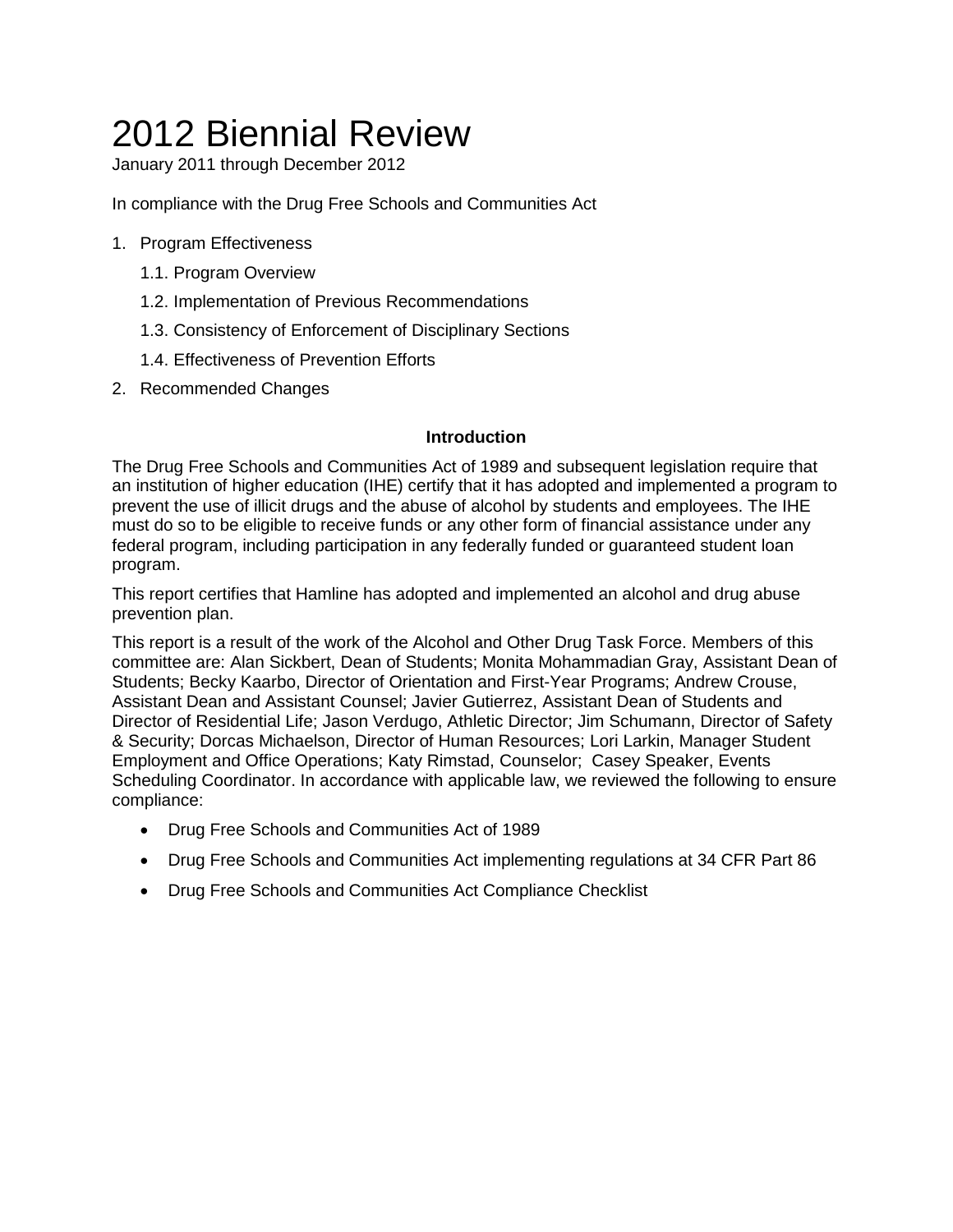# 2012 Biennial Review

January 2011 through December 2012

In compliance with the Drug Free Schools and Communities Act

- 1. Program Effectiveness
	- 1.1. Program Overview
	- 1.2. Implementation of Previous Recommendations
	- 1.3. Consistency of Enforcement of Disciplinary Sections
	- 1.4. Effectiveness of Prevention Efforts
- 2. Recommended Changes

### **Introduction**

The Drug Free Schools and Communities Act of 1989 and subsequent legislation require that an institution of higher education (IHE) certify that it has adopted and implemented a program to prevent the use of illicit drugs and the abuse of alcohol by students and employees. The IHE must do so to be eligible to receive funds or any other form of financial assistance under any federal program, including participation in any federally funded or guaranteed student loan program.

This report certifies that Hamline has adopted and implemented an alcohol and drug abuse prevention plan.

This report is a result of the work of the Alcohol and Other Drug Task Force. Members of this committee are: Alan Sickbert, Dean of Students; Monita Mohammadian Gray, Assistant Dean of Students; Becky Kaarbo, Director of Orientation and First-Year Programs; Andrew Crouse, Assistant Dean and Assistant Counsel; Javier Gutierrez, Assistant Dean of Students and Director of Residential Life; Jason Verdugo, Athletic Director; Jim Schumann, Director of Safety & Security; Dorcas Michaelson, Director of Human Resources; Lori Larkin, Manager Student Employment and Office Operations; Katy Rimstad, Counselor; Casey Speaker, Events Scheduling Coordinator. In accordance with applicable law, we reviewed the following to ensure compliance:

- Drug Free Schools and Communities Act of 1989
- Drug Free Schools and Communities Act implementing regulations at 34 CFR Part 86
- Drug Free Schools and Communities Act Compliance Checklist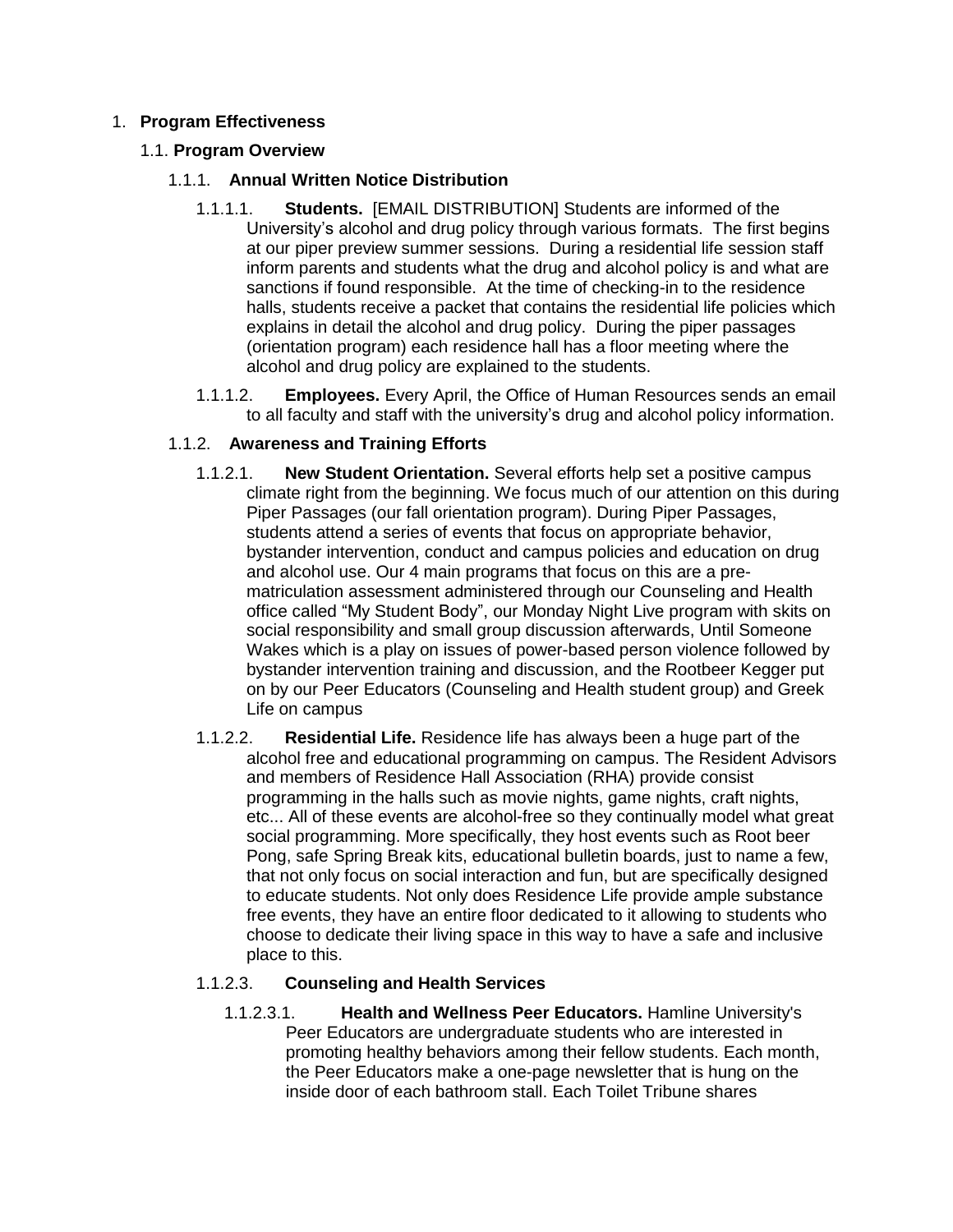# 1. **Program Effectiveness**

### 1.1. **Program Overview**

# 1.1.1. **Annual Written Notice Distribution**

- 1.1.1.1. **Students.** [EMAIL DISTRIBUTION] Students are informed of the University's alcohol and drug policy through various formats. The first begins at our piper preview summer sessions. During a residential life session staff inform parents and students what the drug and alcohol policy is and what are sanctions if found responsible. At the time of checking-in to the residence halls, students receive a packet that contains the residential life policies which explains in detail the alcohol and drug policy. During the piper passages (orientation program) each residence hall has a floor meeting where the alcohol and drug policy are explained to the students.
- 1.1.1.2. **Employees.** Every April, the Office of Human Resources sends an email to all faculty and staff with the university's drug and alcohol policy information.

# 1.1.2. **Awareness and Training Efforts**

- 1.1.2.1. **New Student Orientation.** Several efforts help set a positive campus climate right from the beginning. We focus much of our attention on this during Piper Passages (our fall orientation program). During Piper Passages, students attend a series of events that focus on appropriate behavior, bystander intervention, conduct and campus policies and education on drug and alcohol use. Our 4 main programs that focus on this are a prematriculation assessment administered through our Counseling and Health office called "My Student Body", our Monday Night Live program with skits on social responsibility and small group discussion afterwards, Until Someone Wakes which is a play on issues of power-based person violence followed by bystander intervention training and discussion, and the Rootbeer Kegger put on by our Peer Educators (Counseling and Health student group) and Greek Life on campus
- 1.1.2.2. **Residential Life.** Residence life has always been a huge part of the alcohol free and educational programming on campus. The Resident Advisors and members of Residence Hall Association (RHA) provide consist programming in the halls such as movie nights, game nights, craft nights, etc... All of these events are alcohol-free so they continually model what great social programming. More specifically, they host events such as Root beer Pong, safe Spring Break kits, educational bulletin boards, just to name a few, that not only focus on social interaction and fun, but are specifically designed to educate students. Not only does Residence Life provide ample substance free events, they have an entire floor dedicated to it allowing to students who choose to dedicate their living space in this way to have a safe and inclusive place to this.

### 1.1.2.3. **Counseling and Health Services**

1.1.2.3.1. **Health and Wellness Peer Educators.** Hamline University's Peer Educators are undergraduate students who are interested in promoting healthy behaviors among their fellow students. Each month, the Peer Educators make a one-page newsletter that is hung on the inside door of each bathroom stall. Each Toilet Tribune shares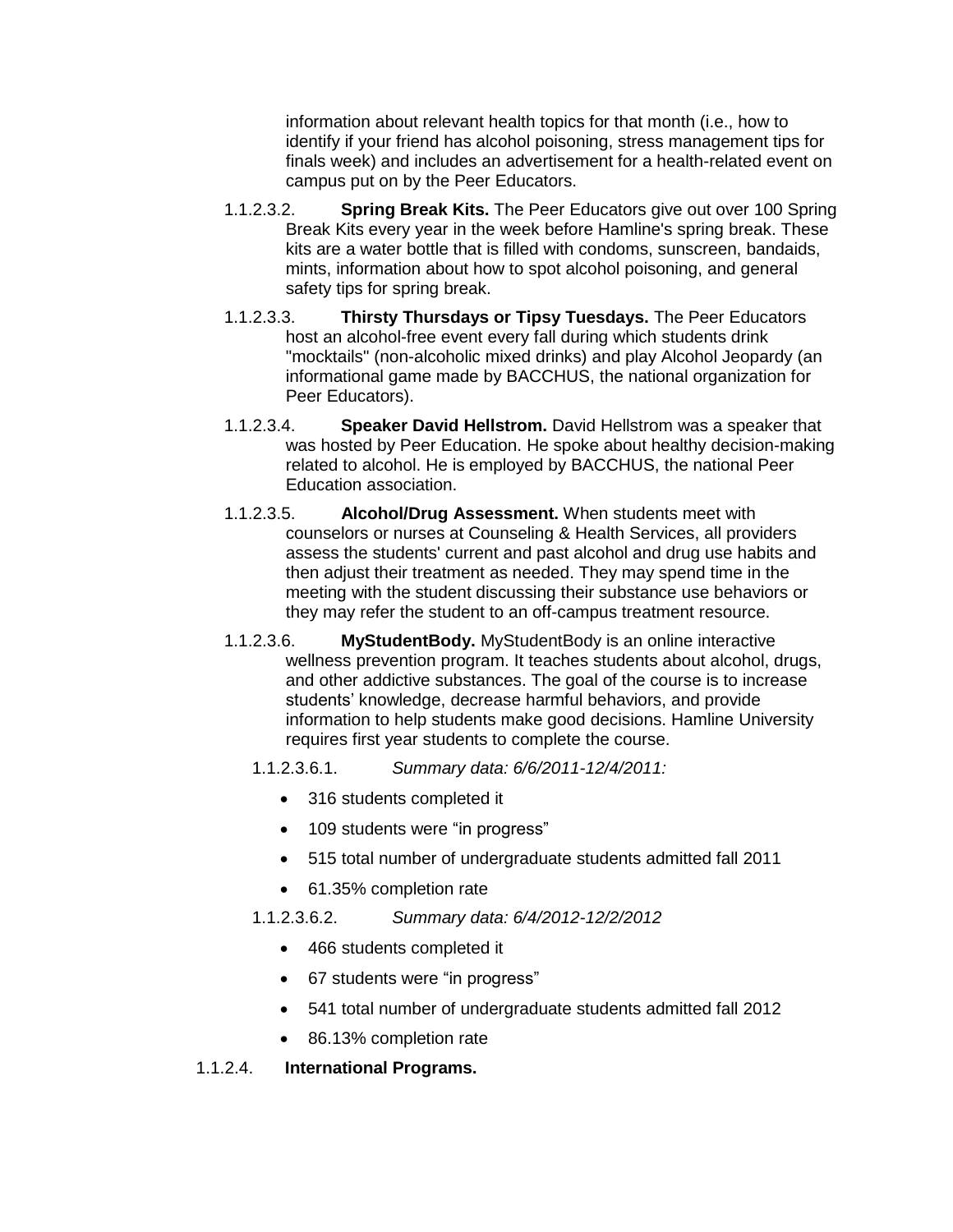information about relevant health topics for that month (i.e., how to identify if your friend has alcohol poisoning, stress management tips for finals week) and includes an advertisement for a health-related event on campus put on by the Peer Educators.

- 1.1.2.3.2. **Spring Break Kits.** The Peer Educators give out over 100 Spring Break Kits every year in the week before Hamline's spring break. These kits are a water bottle that is filled with condoms, sunscreen, bandaids, mints, information about how to spot alcohol poisoning, and general safety tips for spring break.
- 1.1.2.3.3. **Thirsty Thursdays or Tipsy Tuesdays.** The Peer Educators host an alcohol-free event every fall during which students drink "mocktails" (non-alcoholic mixed drinks) and play Alcohol Jeopardy (an informational game made by BACCHUS, the national organization for Peer Educators).
- 1.1.2.3.4. **Speaker David Hellstrom.** David Hellstrom was a speaker that was hosted by Peer Education. He spoke about healthy decision-making related to alcohol. He is employed by BACCHUS, the national Peer Education association.
- 1.1.2.3.5. **Alcohol/Drug Assessment.** When students meet with counselors or nurses at Counseling & Health Services, all providers assess the students' current and past alcohol and drug use habits and then adjust their treatment as needed. They may spend time in the meeting with the student discussing their substance use behaviors or they may refer the student to an off-campus treatment resource.
- 1.1.2.3.6. **MyStudentBody.** MyStudentBody is an online interactive wellness prevention program. It teaches students about alcohol, drugs, and other addictive substances. The goal of the course is to increase students' knowledge, decrease harmful behaviors, and provide information to help students make good decisions. Hamline University requires first year students to complete the course.
	- 1.1.2.3.6.1. *Summary data: 6/6/2011-12/4/2011:*
		- 316 students completed it
		- 109 students were "in progress"
		- 515 total number of undergraduate students admitted fall 2011
		- 61.35% completion rate

# 1.1.2.3.6.2. *Summary data: 6/4/2012-12/2/2012*

- 466 students completed it
- 67 students were "in progress"
- 541 total number of undergraduate students admitted fall 2012
- 86.13% completion rate

# 1.1.2.4. **International Programs.**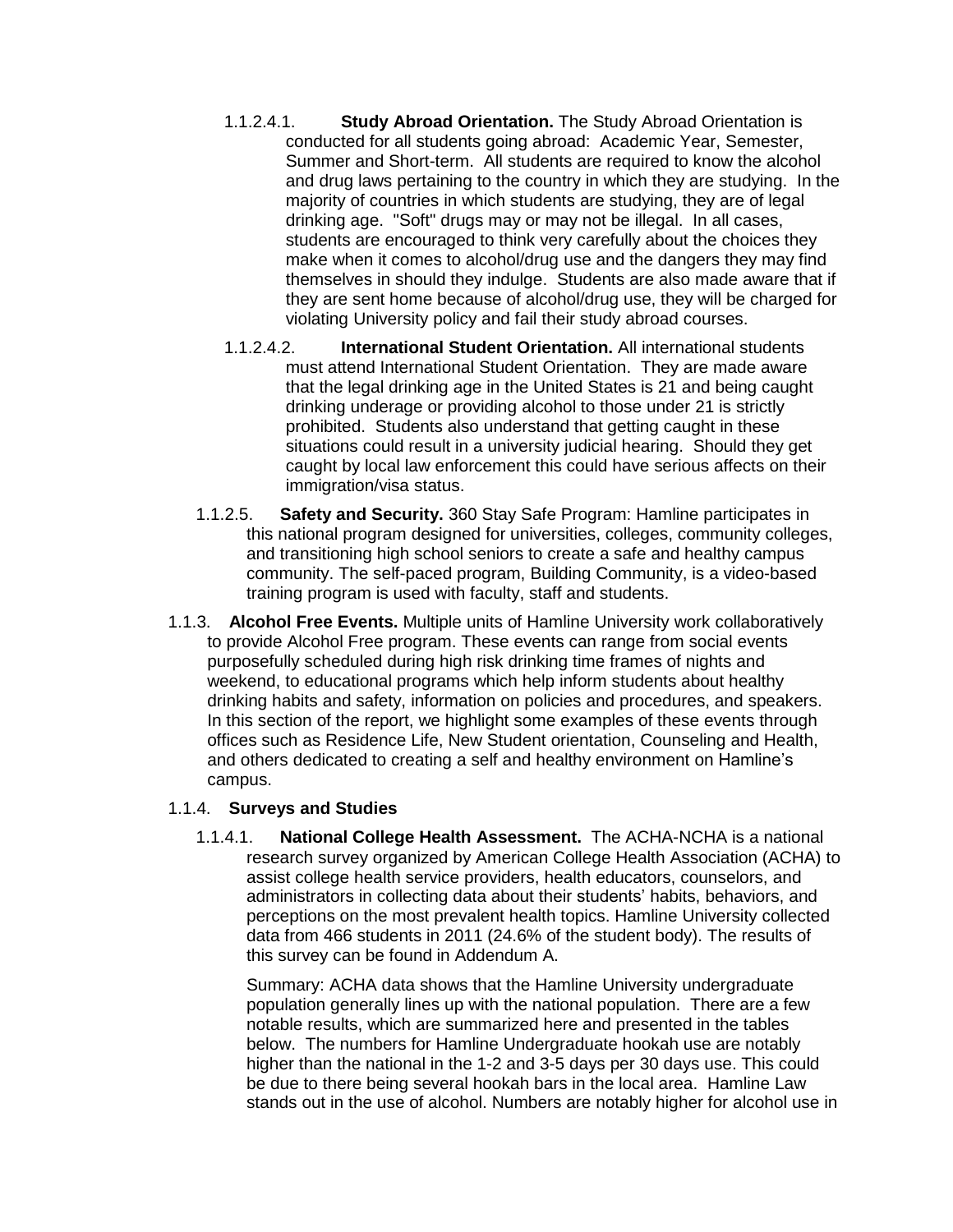- 1.1.2.4.1. **Study Abroad Orientation.** The Study Abroad Orientation is conducted for all students going abroad: Academic Year, Semester, Summer and Short-term. All students are required to know the alcohol and drug laws pertaining to the country in which they are studying. In the majority of countries in which students are studying, they are of legal drinking age. "Soft" drugs may or may not be illegal. In all cases, students are encouraged to think very carefully about the choices they make when it comes to alcohol/drug use and the dangers they may find themselves in should they indulge. Students are also made aware that if they are sent home because of alcohol/drug use, they will be charged for violating University policy and fail their study abroad courses.
- 1.1.2.4.2. **International Student Orientation.** All international students must attend International Student Orientation. They are made aware that the legal drinking age in the United States is 21 and being caught drinking underage or providing alcohol to those under 21 is strictly prohibited. Students also understand that getting caught in these situations could result in a university judicial hearing. Should they get caught by local law enforcement this could have serious affects on their immigration/visa status.
- 1.1.2.5. **Safety and Security.** 360 Stay Safe Program: Hamline participates in this national program designed for universities, colleges, community colleges, and transitioning high school seniors to create a safe and healthy campus community. The self-paced program, Building Community, is a video-based training program is used with faculty, staff and students.
- 1.1.3. **Alcohol Free Events.** Multiple units of Hamline University work collaboratively to provide Alcohol Free program. These events can range from social events purposefully scheduled during high risk drinking time frames of nights and weekend, to educational programs which help inform students about healthy drinking habits and safety, information on policies and procedures, and speakers. In this section of the report, we highlight some examples of these events through offices such as Residence Life, New Student orientation, Counseling and Health, and others dedicated to creating a self and healthy environment on Hamline's campus.

### 1.1.4. **Surveys and Studies**

1.1.4.1. **National College Health Assessment.** The ACHA-NCHA is a national research survey organized by American College Health Association (ACHA) to assist college health service providers, health educators, counselors, and administrators in collecting data about their students' habits, behaviors, and perceptions on the most prevalent health topics. Hamline University collected data from 466 students in 2011 (24.6% of the student body). The results of this survey can be found in Addendum A.

Summary: ACHA data shows that the Hamline University undergraduate population generally lines up with the national population. There are a few notable results, which are summarized here and presented in the tables below. The numbers for Hamline Undergraduate hookah use are notably higher than the national in the 1-2 and 3-5 days per 30 days use. This could be due to there being several hookah bars in the local area. Hamline Law stands out in the use of alcohol. Numbers are notably higher for alcohol use in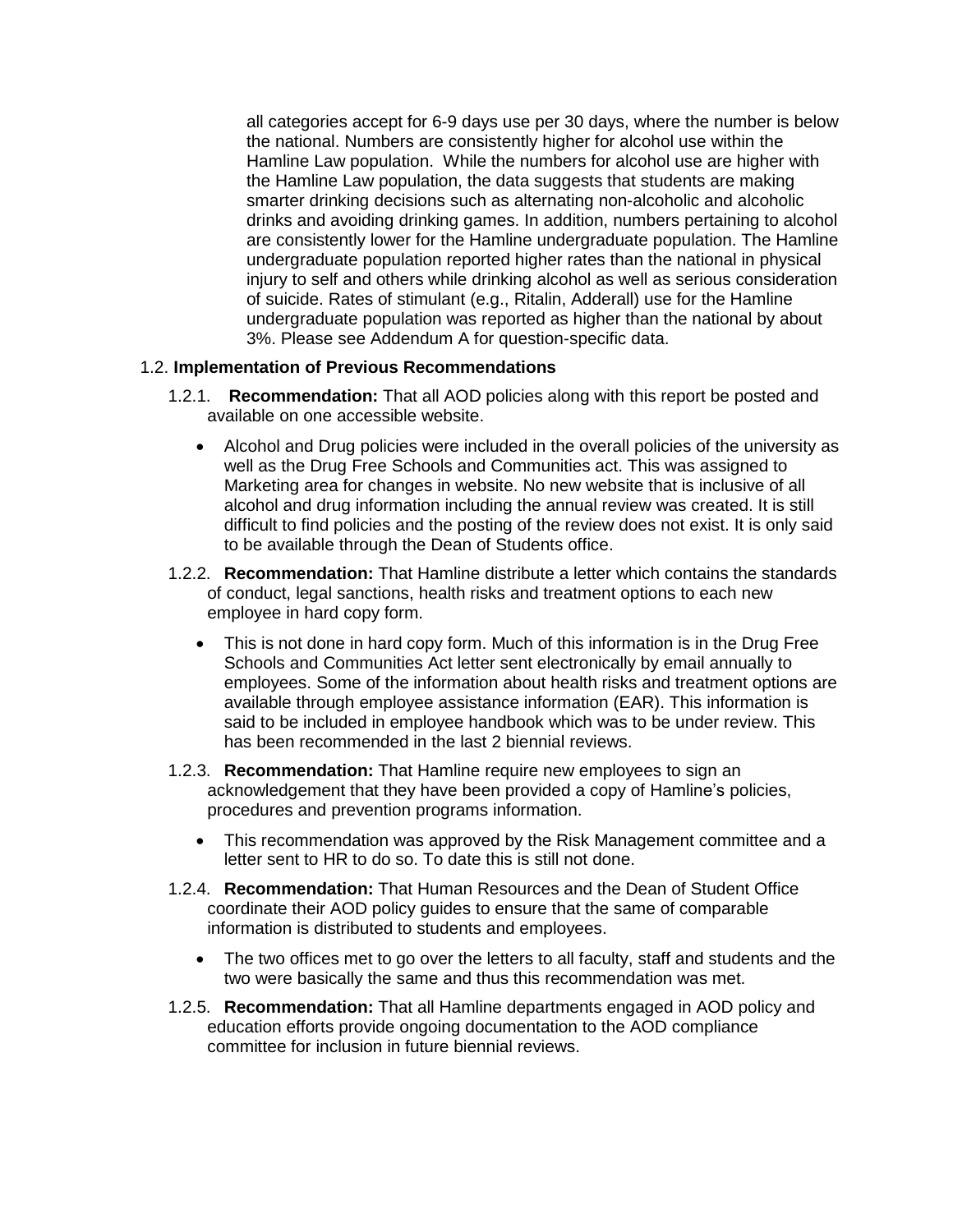all categories accept for 6-9 days use per 30 days, where the number is below the national. Numbers are consistently higher for alcohol use within the Hamline Law population. While the numbers for alcohol use are higher with the Hamline Law population, the data suggests that students are making smarter drinking decisions such as alternating non-alcoholic and alcoholic drinks and avoiding drinking games. In addition, numbers pertaining to alcohol are consistently lower for the Hamline undergraduate population. The Hamline undergraduate population reported higher rates than the national in physical injury to self and others while drinking alcohol as well as serious consideration of suicide. Rates of stimulant (e.g., Ritalin, Adderall) use for the Hamline undergraduate population was reported as higher than the national by about 3%. Please see Addendum A for question-specific data.

### 1.2. **Implementation of Previous Recommendations**

- 1.2.1. **Recommendation:** That all AOD policies along with this report be posted and available on one accessible website.
	- Alcohol and Drug policies were included in the overall policies of the university as well as the Drug Free Schools and Communities act. This was assigned to Marketing area for changes in website. No new website that is inclusive of all alcohol and drug information including the annual review was created. It is still difficult to find policies and the posting of the review does not exist. It is only said to be available through the Dean of Students office.
- 1.2.2. **Recommendation:** That Hamline distribute a letter which contains the standards of conduct, legal sanctions, health risks and treatment options to each new employee in hard copy form.
	- This is not done in hard copy form. Much of this information is in the Drug Free Schools and Communities Act letter sent electronically by email annually to employees. Some of the information about health risks and treatment options are available through employee assistance information (EAR). This information is said to be included in employee handbook which was to be under review. This has been recommended in the last 2 biennial reviews.
- 1.2.3. **Recommendation:** That Hamline require new employees to sign an acknowledgement that they have been provided a copy of Hamline's policies, procedures and prevention programs information.
	- This recommendation was approved by the Risk Management committee and a letter sent to HR to do so. To date this is still not done.
- 1.2.4. **Recommendation:** That Human Resources and the Dean of Student Office coordinate their AOD policy guides to ensure that the same of comparable information is distributed to students and employees.
	- The two offices met to go over the letters to all faculty, staff and students and the two were basically the same and thus this recommendation was met.
- 1.2.5. **Recommendation:** That all Hamline departments engaged in AOD policy and education efforts provide ongoing documentation to the AOD compliance committee for inclusion in future biennial reviews.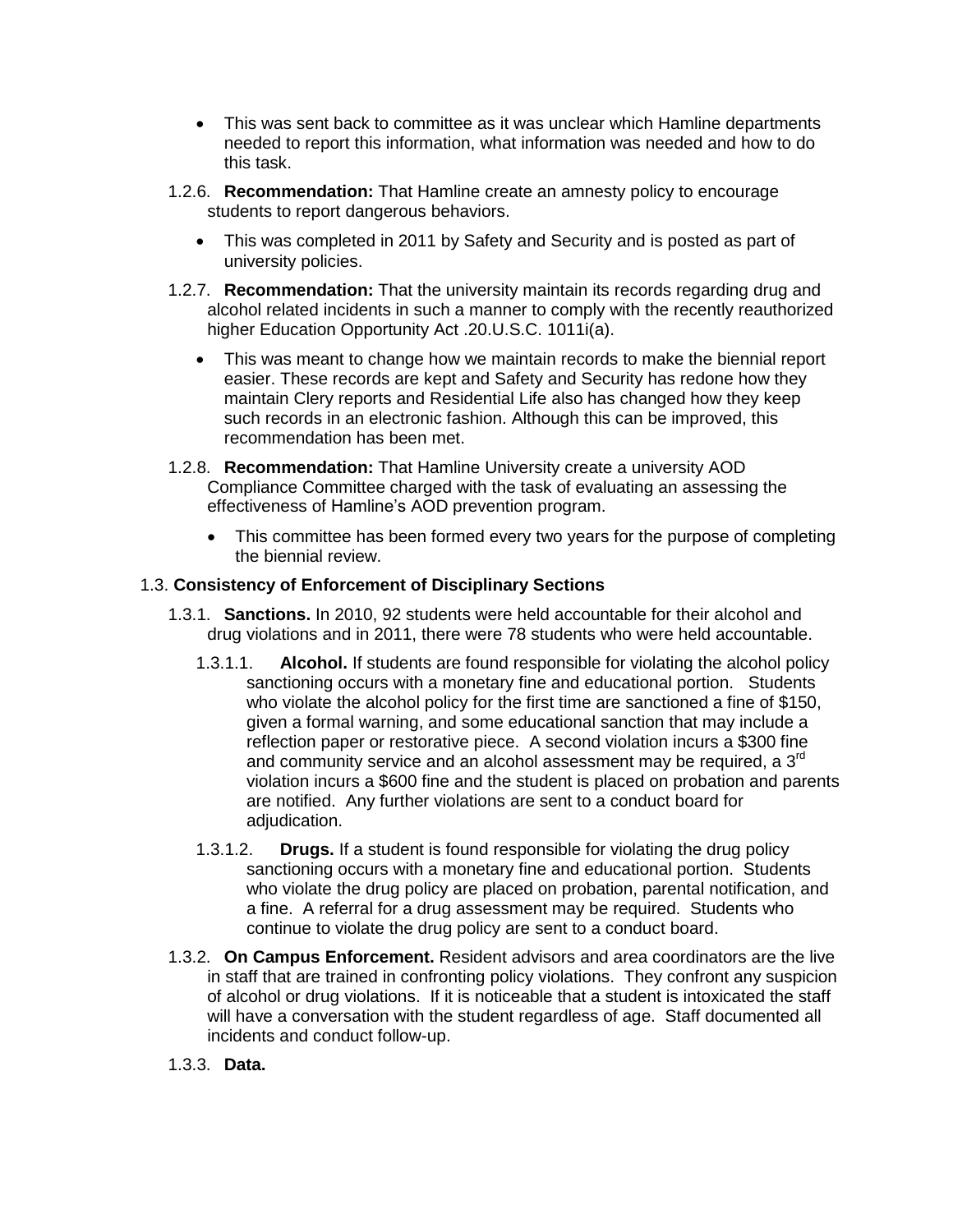- This was sent back to committee as it was unclear which Hamline departments needed to report this information, what information was needed and how to do this task.
- 1.2.6. **Recommendation:** That Hamline create an amnesty policy to encourage students to report dangerous behaviors.
	- This was completed in 2011 by Safety and Security and is posted as part of university policies.
- 1.2.7. **Recommendation:** That the university maintain its records regarding drug and alcohol related incidents in such a manner to comply with the recently reauthorized higher Education Opportunity Act .20.U.S.C. 1011i(a).
	- This was meant to change how we maintain records to make the biennial report easier. These records are kept and Safety and Security has redone how they maintain Clery reports and Residential Life also has changed how they keep such records in an electronic fashion. Although this can be improved, this recommendation has been met.
- 1.2.8. **Recommendation:** That Hamline University create a university AOD Compliance Committee charged with the task of evaluating an assessing the effectiveness of Hamline's AOD prevention program.
	- This committee has been formed every two years for the purpose of completing the biennial review.

### 1.3. **Consistency of Enforcement of Disciplinary Sections**

- 1.3.1. **Sanctions.** In 2010, 92 students were held accountable for their alcohol and drug violations and in 2011, there were 78 students who were held accountable.
	- 1.3.1.1. **Alcohol.** If students are found responsible for violating the alcohol policy sanctioning occurs with a monetary fine and educational portion. Students who violate the alcohol policy for the first time are sanctioned a fine of \$150. given a formal warning, and some educational sanction that may include a reflection paper or restorative piece. A second violation incurs a \$300 fine and community service and an alcohol assessment may be required, a  $3<sup>rd</sup>$ violation incurs a \$600 fine and the student is placed on probation and parents are notified. Any further violations are sent to a conduct board for adjudication.
	- 1.3.1.2. **Drugs.** If a student is found responsible for violating the drug policy sanctioning occurs with a monetary fine and educational portion. Students who violate the drug policy are placed on probation, parental notification, and a fine. A referral for a drug assessment may be required. Students who continue to violate the drug policy are sent to a conduct board.
- 1.3.2. **On Campus Enforcement.** Resident advisors and area coordinators are the live in staff that are trained in confronting policy violations. They confront any suspicion of alcohol or drug violations. If it is noticeable that a student is intoxicated the staff will have a conversation with the student regardless of age. Staff documented all incidents and conduct follow-up.

### 1.3.3. **Data.**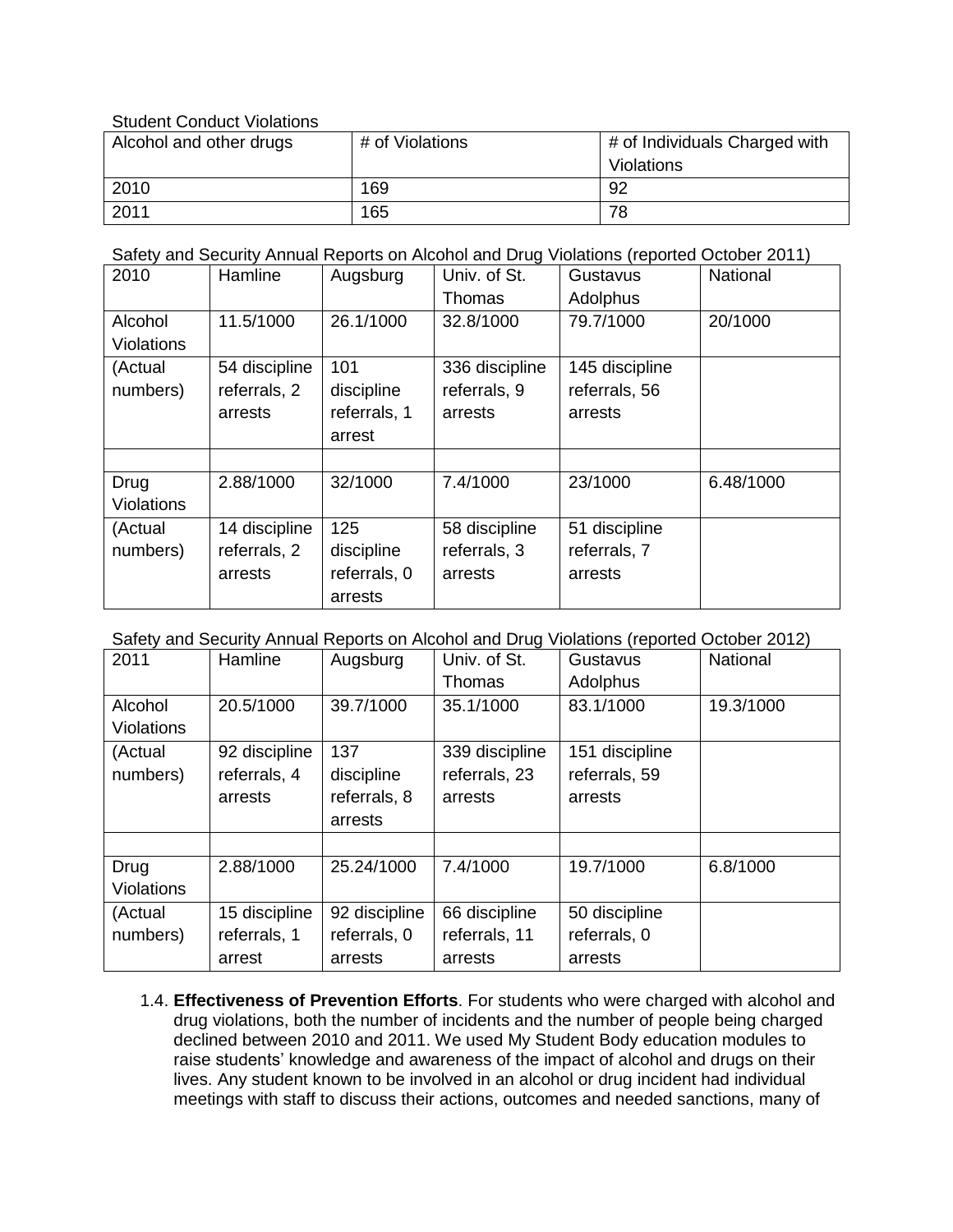Student Conduct Violations

| Alcohol and other drugs | # of Violations | # of Individuals Charged with |
|-------------------------|-----------------|-------------------------------|
|                         |                 | Violations                    |
| 2010                    | 169             | 92                            |
| 2011                    | 165             | 78                            |

Safety and Security Annual Reports on Alcohol and Drug Violations (reported October 2011)

| 2010              | Hamline       | Augsburg     | Univ. of St.   | Gustavus       | National  |
|-------------------|---------------|--------------|----------------|----------------|-----------|
|                   |               |              | Thomas         | Adolphus       |           |
| Alcohol           | 11.5/1000     | 26.1/1000    | 32.8/1000      | 79.7/1000      | 20/1000   |
| <b>Violations</b> |               |              |                |                |           |
| (Actual           | 54 discipline | 101          | 336 discipline | 145 discipline |           |
| numbers)          | referrals, 2  | discipline   | referrals, 9   | referrals, 56  |           |
|                   | arrests       | referrals, 1 | arrests        | arrests        |           |
|                   |               | arrest       |                |                |           |
|                   |               |              |                |                |           |
| Drug              | 2.88/1000     | 32/1000      | 7.4/1000       | 23/1000        | 6.48/1000 |
| <b>Violations</b> |               |              |                |                |           |
| (Actual           | 14 discipline | 125          | 58 discipline  | 51 discipline  |           |
| numbers)          | referrals, 2  | discipline   | referrals, 3   | referrals, 7   |           |
|                   | arrests       | referrals, 0 | arrests        | arrests        |           |
|                   |               | arrests      |                |                |           |

Safety and Security Annual Reports on Alcohol and Drug Violations (reported October 2012)

| 2011              | Hamline       | Augsburg      | Univ. of St.   | Gustavus       | National  |
|-------------------|---------------|---------------|----------------|----------------|-----------|
|                   |               |               | Thomas         | Adolphus       |           |
| Alcohol           | 20.5/1000     | 39.7/1000     | 35.1/1000      | 83.1/1000      | 19.3/1000 |
| Violations        |               |               |                |                |           |
| (Actual           | 92 discipline | 137           | 339 discipline | 151 discipline |           |
| numbers)          | referrals, 4  | discipline    | referrals, 23  | referrals, 59  |           |
|                   | arrests       | referrals, 8  | arrests        | arrests        |           |
|                   |               | arrests       |                |                |           |
|                   |               |               |                |                |           |
| Drug              | 2.88/1000     | 25.24/1000    | 7.4/1000       | 19.7/1000      | 6.8/1000  |
| <b>Violations</b> |               |               |                |                |           |
| (Actual           | 15 discipline | 92 discipline | 66 discipline  | 50 discipline  |           |
| numbers)          | referrals, 1  | referrals, 0  | referrals, 11  | referrals, 0   |           |
|                   | arrest        | arrests       | arrests        | arrests        |           |

1.4. **Effectiveness of Prevention Efforts**. For students who were charged with alcohol and drug violations, both the number of incidents and the number of people being charged declined between 2010 and 2011. We used My Student Body education modules to raise students' knowledge and awareness of the impact of alcohol and drugs on their lives. Any student known to be involved in an alcohol or drug incident had individual meetings with staff to discuss their actions, outcomes and needed sanctions, many of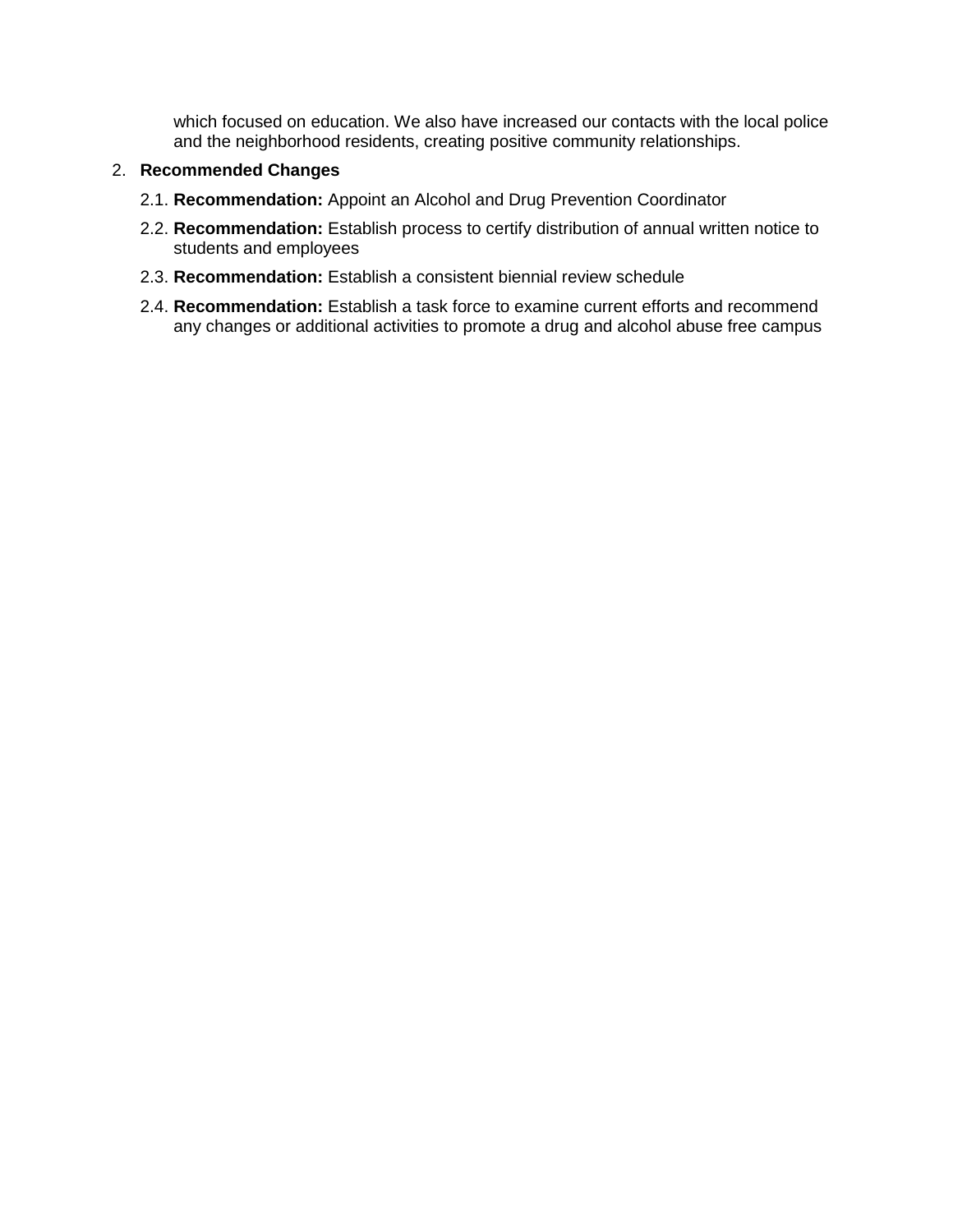which focused on education. We also have increased our contacts with the local police and the neighborhood residents, creating positive community relationships.

#### 2. **Recommended Changes**

- 2.1. **Recommendation:** Appoint an Alcohol and Drug Prevention Coordinator
- 2.2. **Recommendation:** Establish process to certify distribution of annual written notice to students and employees
- 2.3. **Recommendation:** Establish a consistent biennial review schedule
- 2.4. **Recommendation:** Establish a task force to examine current efforts and recommend any changes or additional activities to promote a drug and alcohol abuse free campus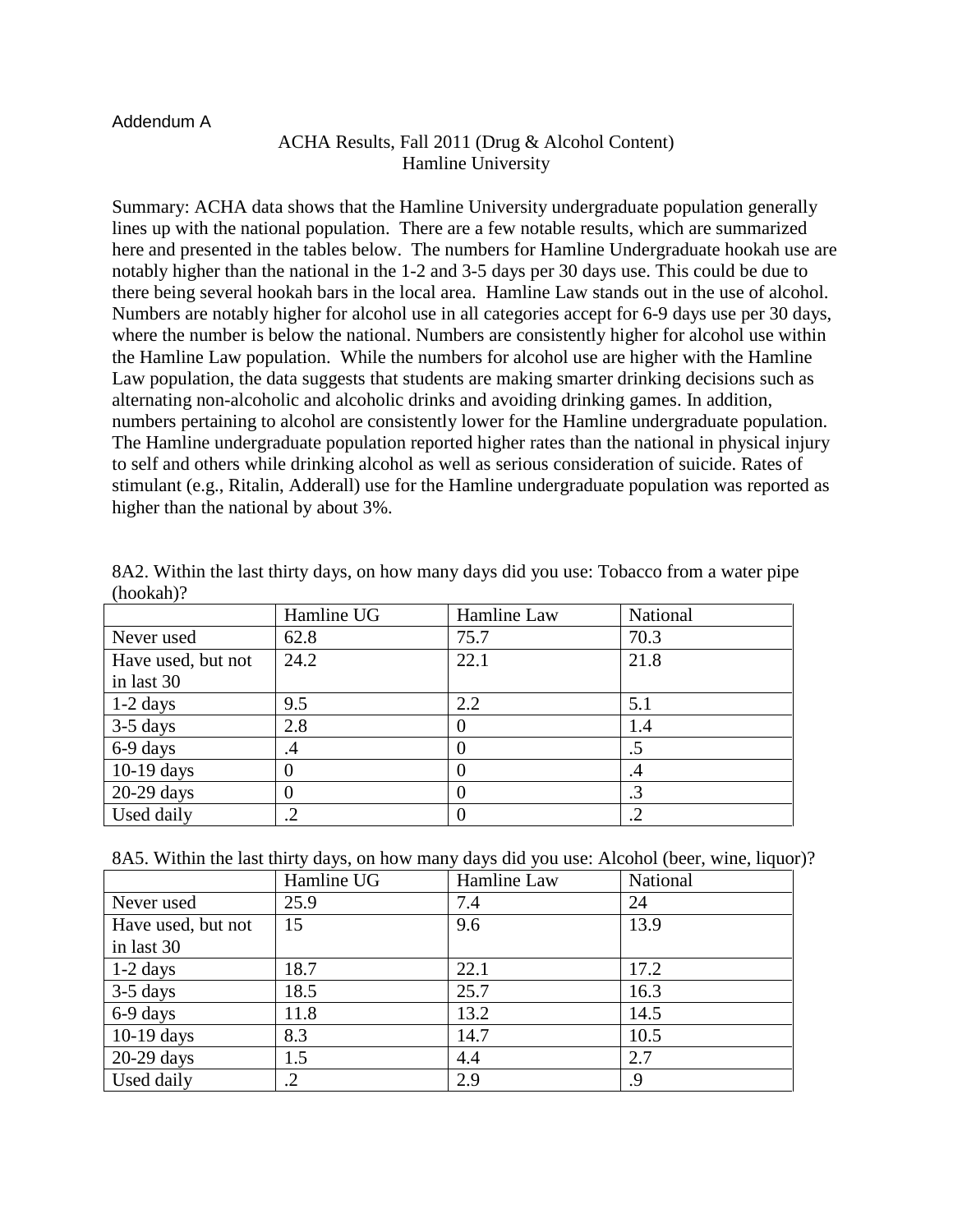#### Addendum A

# ACHA Results, Fall 2011 (Drug & Alcohol Content) Hamline University

Summary: ACHA data shows that the Hamline University undergraduate population generally lines up with the national population. There are a few notable results, which are summarized here and presented in the tables below. The numbers for Hamline Undergraduate hookah use are notably higher than the national in the 1-2 and 3-5 days per 30 days use. This could be due to there being several hookah bars in the local area. Hamline Law stands out in the use of alcohol. Numbers are notably higher for alcohol use in all categories accept for 6-9 days use per 30 days, where the number is below the national. Numbers are consistently higher for alcohol use within the Hamline Law population. While the numbers for alcohol use are higher with the Hamline Law population, the data suggests that students are making smarter drinking decisions such as alternating non-alcoholic and alcoholic drinks and avoiding drinking games. In addition, numbers pertaining to alcohol are consistently lower for the Hamline undergraduate population. The Hamline undergraduate population reported higher rates than the national in physical injury to self and others while drinking alcohol as well as serious consideration of suicide. Rates of stimulant (e.g., Ritalin, Adderall) use for the Hamline undergraduate population was reported as higher than the national by about 3%.

|                    | Hamline UG | Hamline Law | National |
|--------------------|------------|-------------|----------|
| Never used         | 62.8       | 75.7        | 70.3     |
| Have used, but not | 24.2       | 22.1        | 21.8     |
| in last 30         |            |             |          |
| $1-2$ days         | 9.5        | 2.2         | 5.1      |
| $3-5$ days         | 2.8        |             | 1.4      |
| 6-9 days           | .4         |             | .5       |
| $10-19$ days       |            |             | .4       |
| $20-29$ days       |            |             | .3       |
| Used daily         | .2         |             |          |

| 8A2. Within the last thirty days, on how many days did you use: Tobacco from a water pipe |  |  |
|-------------------------------------------------------------------------------------------|--|--|
| $(hookah)$ ?                                                                              |  |  |

| 8A5. Within the last thirty days, on how many days did you use: Alcohol (beer, wine, liquor)? |  |  |  |  |
|-----------------------------------------------------------------------------------------------|--|--|--|--|
|-----------------------------------------------------------------------------------------------|--|--|--|--|

|                    | Hamline UG | Hamline Law | National |
|--------------------|------------|-------------|----------|
| Never used         | 25.9       | 7.4         | 24       |
| Have used, but not | 15         | 9.6         | 13.9     |
| in last 30         |            |             |          |
| $1-2$ days         | 18.7       | 22.1        | 17.2     |
| $3-5$ days         | 18.5       | 25.7        | 16.3     |
| 6-9 days           | 11.8       | 13.2        | 14.5     |
| $10-19$ days       | 8.3        | 14.7        | 10.5     |
| $20-29$ days       | 1.5        | 4.4         | 2.7      |
| Used daily         | .2         | 2.9         | .9       |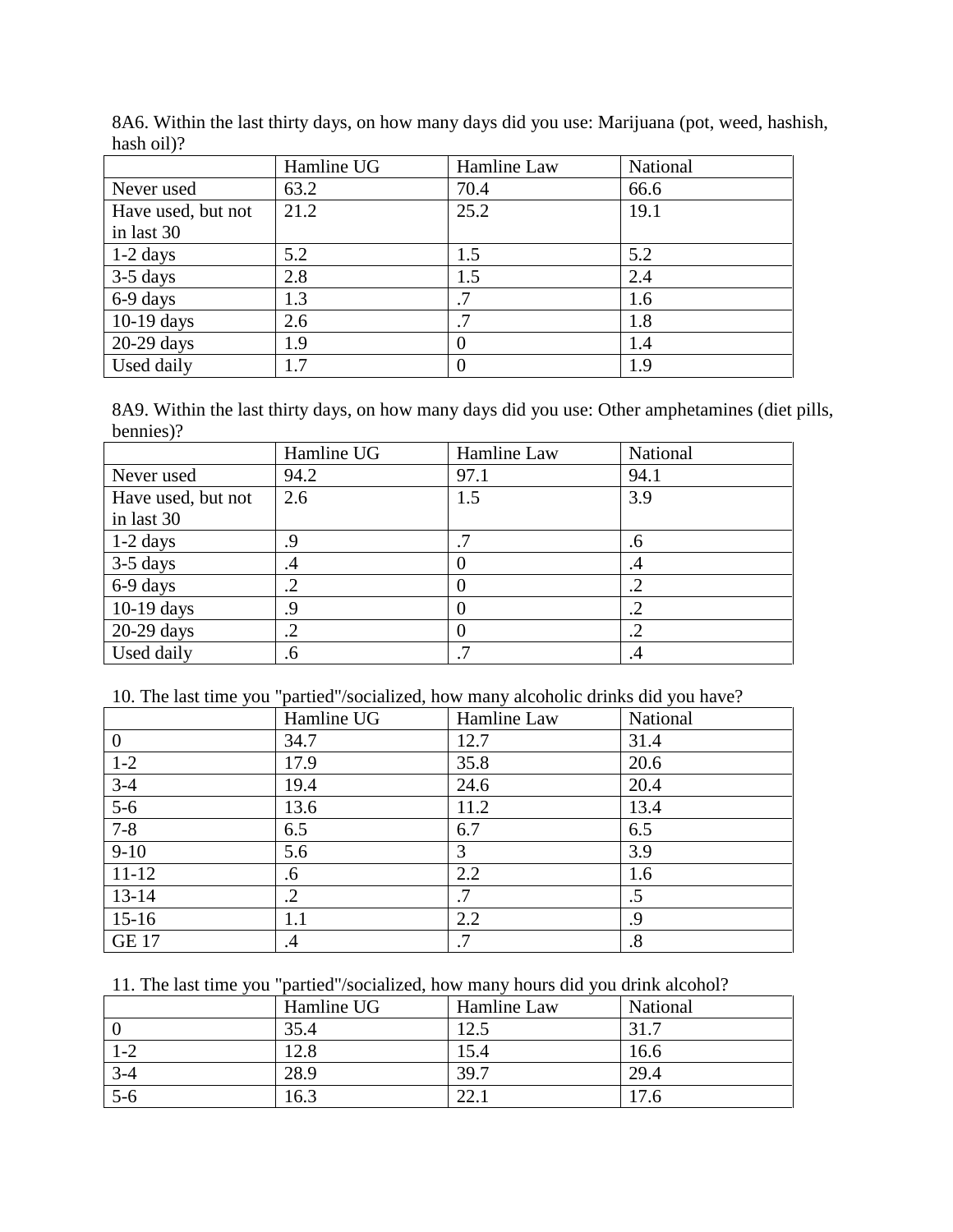|                    | Hamline UG | Hamline Law | National |
|--------------------|------------|-------------|----------|
| Never used         | 63.2       | 70.4        | 66.6     |
| Have used, but not | 21.2       | 25.2        | 19.1     |
| in last 30         |            |             |          |
| $1-2$ days         | 5.2        | 1.5         | 5.2      |
| $3-5$ days         | 2.8        | 1.5         | 2.4      |
| 6-9 days           | 1.3        |             | 1.6      |
| $10-19$ days       | 2.6        | .7          | 1.8      |
| $20-29$ days       | 1.9        | $\theta$    | 1.4      |
| Used daily         | 1.7        | 0           | 1.9      |

8A6. Within the last thirty days, on how many days did you use: Marijuana (pot, weed, hashish, hash oil)?

8A9. Within the last thirty days, on how many days did you use: Other amphetamines (diet pills, bennies)?

|                    | Hamline UG | Hamline Law | National   |
|--------------------|------------|-------------|------------|
| Never used         | 94.2       | 97.1        | 94.1       |
| Have used, but not | 2.6        | 1.5         | 3.9        |
| in last 30         |            |             |            |
| $1-2$ days         | 9.         | .7          | .6         |
| $3-5$ days         | .4         |             | .4         |
| 6-9 days           | .2         |             | $\cdot$    |
| $10-19$ days       | 9.         | $\theta$    | .2         |
| $20-29$ days       | $\cdot$ .2 |             | $\cdot$ .2 |
| Used daily         | .6         | .7          | .4         |

10. The last time you "partied"/socialized, how many alcoholic drinks did you have?

|                | Hamline UG | Hamline Law | National          |
|----------------|------------|-------------|-------------------|
| $\overline{0}$ | 34.7       | 12.7        | 31.4              |
| $1-2$          | 17.9       | 35.8        | 20.6              |
| $3-4$          | 19.4       | 24.6        | 20.4              |
| $5-6$          | 13.6       | 11.2        | 13.4              |
| $7 - 8$        | 6.5        | 6.7         | 6.5               |
| $9-10$         | 5.6        | 3           | 3.9               |
| $11 - 12$      | .6         | 2.2         | 1.6               |
| $13 - 14$      | $\cdot$ .2 | .7          | .5                |
| $15-16$        | 1.1        | 2.2         | .9                |
| <b>GE 17</b>   | .4         | $\cdot$ /   | $\boldsymbol{.8}$ |

11. The last time you "partied"/socialized, how many hours did you drink alcohol?

|         | Hamline UG | Hamline Law | National |
|---------|------------|-------------|----------|
|         | 35.4       | 12.5        |          |
| $1 - 2$ | 12.8       | 15.4        | 16.6     |
| $3 - 4$ | 28.9       | 39.7        | 29.4     |
| $5-6$   | 16.3       | 44. l       | 7.6      |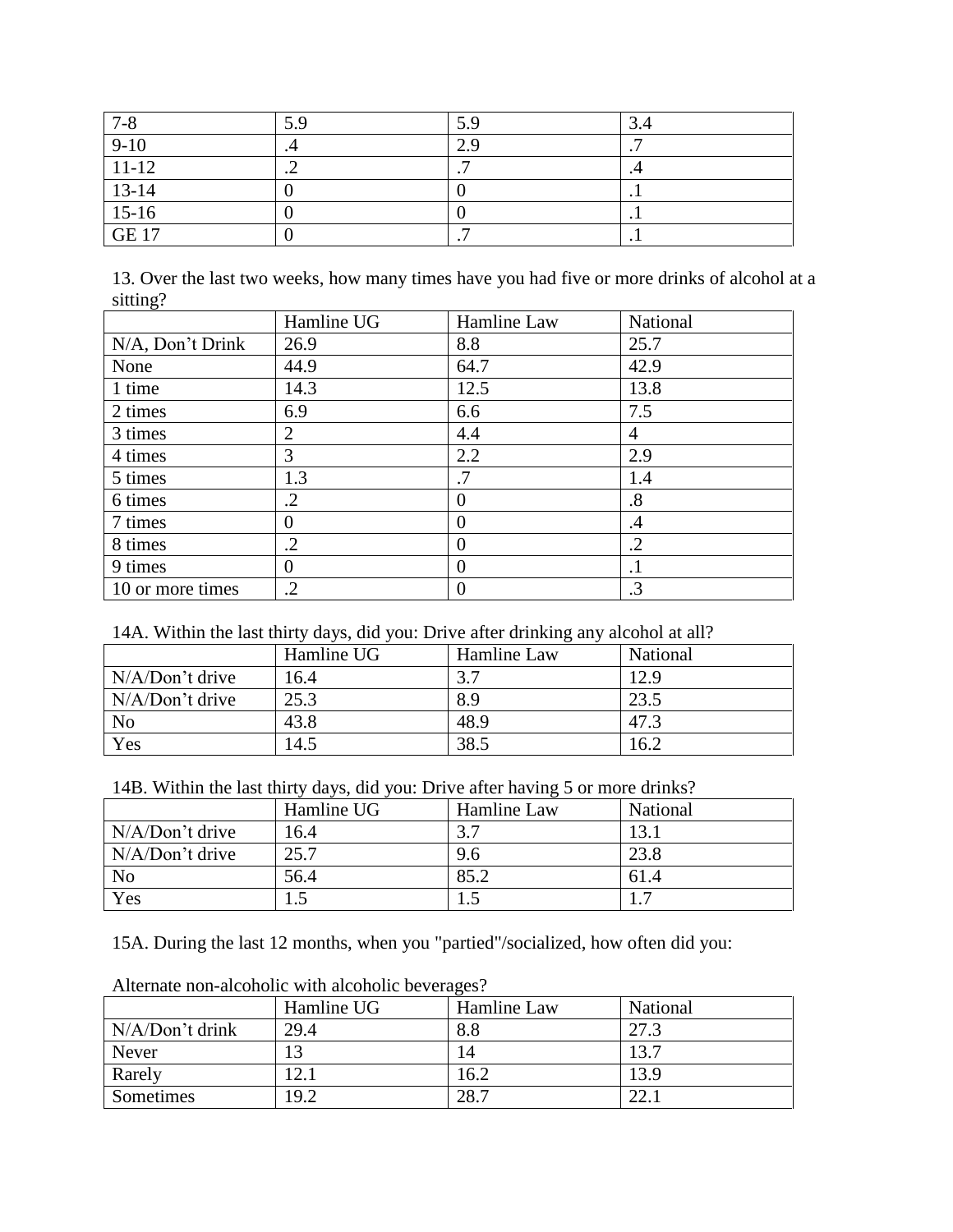| $7 - 8$               | 5.9 | 5.9       | 3.4             |
|-----------------------|-----|-----------|-----------------|
| $9-10$                | .-  | 2.9       | $\cdot$ $\cdot$ |
| $11-12$               | . . |           |                 |
| $13-14$               |     |           | . .             |
| $\frac{15-16}{GE~17}$ |     |           | . .             |
|                       |     | $\bullet$ | . .             |

13. Over the last two weeks, how many times have you had five or more drinks of alcohol at a sitting?

|                  | Hamline UG | Hamline Law    | National   |
|------------------|------------|----------------|------------|
| N/A, Don't Drink | 26.9       | 8.8            | 25.7       |
| None             | 44.9       | 64.7           | 42.9       |
| 1 time           | 14.3       | 12.5           | 13.8       |
| 2 times          | 6.9        | 6.6            | 7.5        |
| 3 times          | 2          | 4.4            | 4          |
| 4 times          | 3          | 2.2            | 2.9        |
| 5 times          | 1.3        | $\cdot$ 7      | 1.4        |
| 6 times          | $\cdot$ .2 | $\theta$       | .8         |
| 7 times          | 0          | $\overline{0}$ | $\cdot$    |
| 8 times          | $\cdot$ .2 | $\theta$       | $\cdot$ .2 |
| 9 times          | 0          | $\theta$       | $\cdot$ 1  |
| 10 or more times | $\cdot$    | $\overline{0}$ | $\cdot$ 3  |

# 14A. Within the last thirty days, did you: Drive after drinking any alcohol at all?

|                   | Hamline UG | Hamline Law | National |
|-------------------|------------|-------------|----------|
| N/A/Don't drive   | 16.4       |             | 12.9     |
| $N/A/Don't$ drive | 25.3       | 8.9         | 23.5     |
| N <sub>o</sub>    | 43.8       | 48.9        | 47.3     |
| Yes               | 14.5       | 38.5        | 16.2     |

14B. Within the last thirty days, did you: Drive after having 5 or more drinks?

|                   | Hamline UG | Hamline Law | National |
|-------------------|------------|-------------|----------|
| $N/A/Don't$ drive | 16.4       |             | 13.      |
| N/A/Don't drive   | 25.7       | 9.6         | 23.8     |
| N <sub>o</sub>    | 56.4       | 85.2        | 61.4     |
| Yes               | ن. 1       |             |          |

15A. During the last 12 months, when you "partied"/socialized, how often did you:

|                 | Hamline UG | Hamline Law | National |  |
|-----------------|------------|-------------|----------|--|
| N/A/Don't drink | 29.4       | 8.8         | 27.3     |  |
| Never           |            | 14          | 13.7     |  |
| Rarely          | 12.1       | 16.2        | 13.9     |  |
| Sometimes       | 19.2       | 28.7        | 22.      |  |

Alternate non-alcoholic with alcoholic beverages?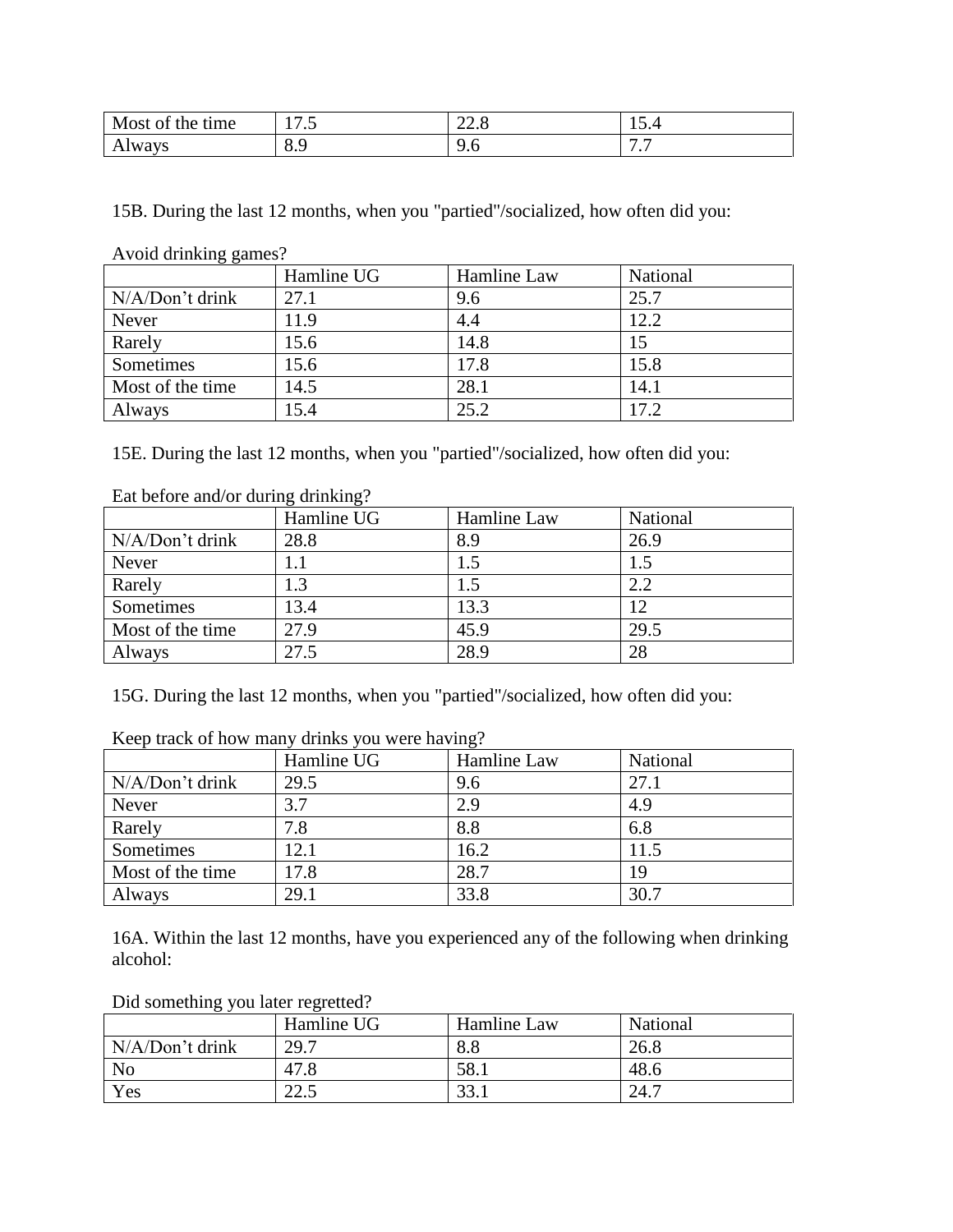| Most of       | 177                      | $\bigcap$ | $\overline{\phantom{0}}$ |
|---------------|--------------------------|-----------|--------------------------|
| the time      | 11.J                     | 44.0      | 10. L                    |
| <b>Always</b> | $\Omega$ $\Omega$<br>0.5 | ∼<br>৴.∪  | . .                      |

15B. During the last 12 months, when you "partied"/socialized, how often did you:

Avoid drinking games?

|                  | Hamline UG | Hamline Law | National |
|------------------|------------|-------------|----------|
| N/A/Don't drink  | 27.1       | 9.6         | 25.7     |
| Never            | 11.9       | 4.4         | 12.2     |
| Rarely           | 15.6       | 14.8        | 15       |
| Sometimes        | 15.6       | 17.8        | 15.8     |
| Most of the time | 14.5       | 28.1        | 14.1     |
| Always           | 15.4       | 25.2        | 17.2     |

15E. During the last 12 months, when you "partied"/socialized, how often did you:

| Eat before and/or during drinking? |            |             |          |
|------------------------------------|------------|-------------|----------|
|                                    | Hamline UG | Hamline Law | National |
| N/A/Don't drink                    | 28.8       | 8.9         | 26.9     |
| Never                              |            |             | 1.5      |
| Rarely                             | 1.3        | 1.5         | 2.2      |
| Sometimes                          | 13.4       | 13.3        | 12       |
| Most of the time                   | 27.9       | 45.9        | 29.5     |
| Always                             | 27.5       | 28.9        | 28       |

15G. During the last 12 months, when you "partied"/socialized, how often did you:

|                  | Hamline UG | Hamline Law | National |
|------------------|------------|-------------|----------|
| N/A/Don't drink  | 29.5       | 9.6         | 27.1     |
| Never            | 3.7        | 2.9         | 4.9      |
| Rarely           | 7.8        | 8.8         | 6.8      |
| Sometimes        | 12.1       | 16.2        | 11.5     |
| Most of the time | 17.8       | 28.7        | 19       |
| Always           | 29.1       | 33.8        | 30.7     |

Keep track of how many drinks you were having?

16A. Within the last 12 months, have you experienced any of the following when drinking alcohol:

|                 | Hamline UG | Hamline Law | National |
|-----------------|------------|-------------|----------|
| N/A/Don't drink | 29.7       | 8.8         | 26.8     |
| N <sub>o</sub>  | 47.8       | 58.1        | 48.6     |
| Yes             | 225<br>ر ے | 33.1        | 24.7     |